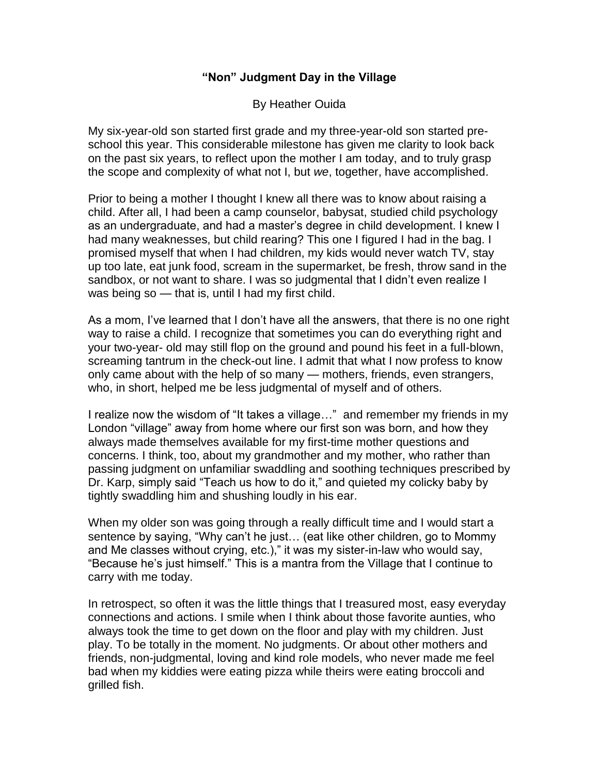## **"Non" Judgment Day in the Village**

## By Heather Ouida

My six-year-old son started first grade and my three-year-old son started preschool this year. This considerable milestone has given me clarity to look back on the past six years, to reflect upon the mother I am today, and to truly grasp the scope and complexity of what not I, but *we*, together, have accomplished.

Prior to being a mother I thought I knew all there was to know about raising a child. After all, I had been a camp counselor, babysat, studied child psychology as an undergraduate, and had a master's degree in child development. I knew I had many weaknesses, but child rearing? This one I figured I had in the bag. I promised myself that when I had children, my kids would never watch TV, stay up too late, eat junk food, scream in the supermarket, be fresh, throw sand in the sandbox, or not want to share. I was so judgmental that I didn't even realize I was being so — that is, until I had my first child.

As a mom, I've learned that I don't have all the answers, that there is no one right way to raise a child. I recognize that sometimes you can do everything right and your two-year- old may still flop on the ground and pound his feet in a full-blown, screaming tantrum in the check-out line. I admit that what I now profess to know only came about with the help of so many — mothers, friends, even strangers, who, in short, helped me be less judgmental of myself and of others.

I realize now the wisdom of "It takes a village…" and remember my friends in my London "village" away from home where our first son was born, and how they always made themselves available for my first-time mother questions and concerns. I think, too, about my grandmother and my mother, who rather than passing judgment on unfamiliar swaddling and soothing techniques prescribed by Dr. Karp, simply said "Teach us how to do it," and quieted my colicky baby by tightly swaddling him and shushing loudly in his ear.

When my older son was going through a really difficult time and I would start a sentence by saying, "Why can't he just… (eat like other children, go to Mommy and Me classes without crying, etc.)," it was my sister-in-law who would say, "Because he's just himself." This is a mantra from the Village that I continue to carry with me today.

In retrospect, so often it was the little things that I treasured most, easy everyday connections and actions. I smile when I think about those favorite aunties, who always took the time to get down on the floor and play with my children. Just play. To be totally in the moment. No judgments. Or about other mothers and friends, non-judgmental, loving and kind role models, who never made me feel bad when my kiddies were eating pizza while theirs were eating broccoli and grilled fish.